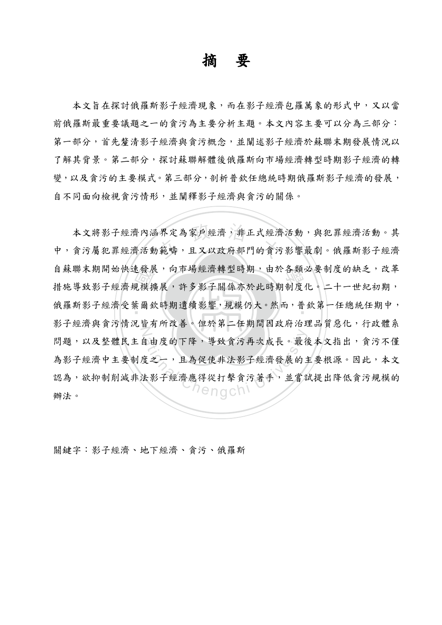## 摘 要

本文旨在探討俄羅斯影子經濟界系,而在影子經濟包羅萬象的形式中,又以當 前俄羅斯最重要議題之一的貪污為主要分析主題。本文內容主要可以分為三部分: 第一部分,首先釐清影子經濟與貪污概念,並闡述影子經濟於蘇聯末期發展情況以 了解其背景。第二部分,探討蘇聯解體後俄羅斯向市場經濟轉型時期影子經濟的轉 變,以及貪污的主要模式。第三部分,剖析普欽任總統時期俄羅斯影子經濟的發展, 自不同面向檢視貪污情形,並闡釋影子經濟與貪污的關係。

是一模 一种模拟 本文將影子經濟內涵界定為家戶經濟,非正式經濟活動,與犯罪經濟活動。其<br>貪污屬犯罪經濟活動範疇,且又以政府部門的貪污影響最劇。俄羅斯影子經濟 自蘇聯末期開始快速發展,向市場經濟轉型時期,由於各類必要制度的缺乏,改革 俄羅斯影子經濟受葉爾欽時期遺續影響,規模仍大。然而,普欽第一任總統任期中, N 自由度的下降,導致貪污再次成長。最後<br>度之一,且為促使非法影子經濟發展的<br><br>去影子經濟應得從打擊貪污著手,並嘗 中,貪污屬犯罪經濟活動範疇,且又以政府部門的貪污影響最劇。俄羅斯影子經濟 措施導致影子經濟規模擴展,許多影子關係亦於此時期制度化。二十一世紀初期, 影子經濟與貪污情況皆有所改善。但於第二任期間因政府治理品質惡化,行政體系 問題,以及整體民主自由度的下降,導致貪污再次成長。最後本文指出,貪污不僅 為影子經濟中主要制度之一,且為促使非法影子經濟發展的主要根源。因此,本文 認為,欲抑制削減非法影子經濟應得從打擊貪污著手,並嘗試提出降低貪污規模的 辦法。

關鍵字:影子經濟、地下經濟、貪污、俄羅斯